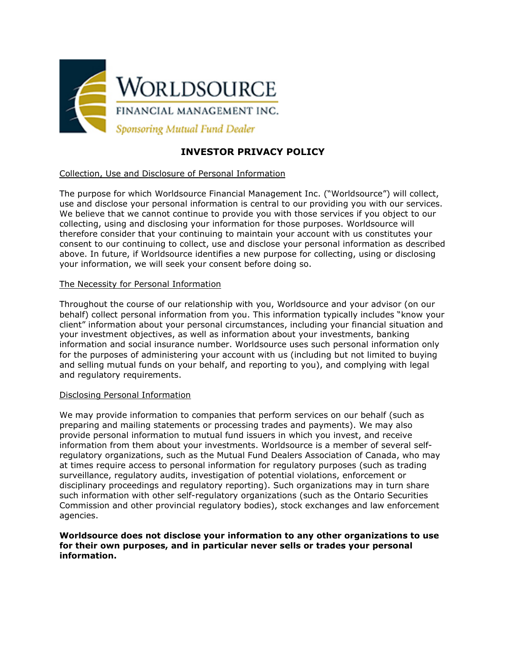

# **INVESTOR PRIVACY POLICY**

# Collection, Use and Disclosure of Personal Information

The purpose for which Worldsource Financial Management Inc. ("Worldsource") will collect, use and disclose your personal information is central to our providing you with our services. We believe that we cannot continue to provide you with those services if you object to our collecting, using and disclosing your information for those purposes. Worldsource will therefore consider that your continuing to maintain your account with us constitutes your consent to our continuing to collect, use and disclose your personal information as described above. In future, if Worldsource identifies a new purpose for collecting, using or disclosing your information, we will seek your consent before doing so.

# The Necessity for Personal Information

Throughout the course of our relationship with you, Worldsource and your advisor (on our behalf) collect personal information from you. This information typically includes "know your client" information about your personal circumstances, including your financial situation and your investment objectives, as well as information about your investments, banking information and social insurance number. Worldsource uses such personal information only for the purposes of administering your account with us (including but not limited to buying and selling mutual funds on your behalf, and reporting to you), and complying with legal and regulatory requirements.

## Disclosing Personal Information

We may provide information to companies that perform services on our behalf (such as preparing and mailing statements or processing trades and payments). We may also provide personal information to mutual fund issuers in which you invest, and receive information from them about your investments. Worldsource is a member of several selfregulatory organizations, such as the Mutual Fund Dealers Association of Canada, who may at times require access to personal information for regulatory purposes (such as trading surveillance, regulatory audits, investigation of potential violations, enforcement or disciplinary proceedings and regulatory reporting). Such organizations may in turn share such information with other self-regulatory organizations (such as the Ontario Securities Commission and other provincial regulatory bodies), stock exchanges and law enforcement agencies.

## **Worldsource does not disclose your information to any other organizations to use for their own purposes, and in particular never sells or trades your personal information.**